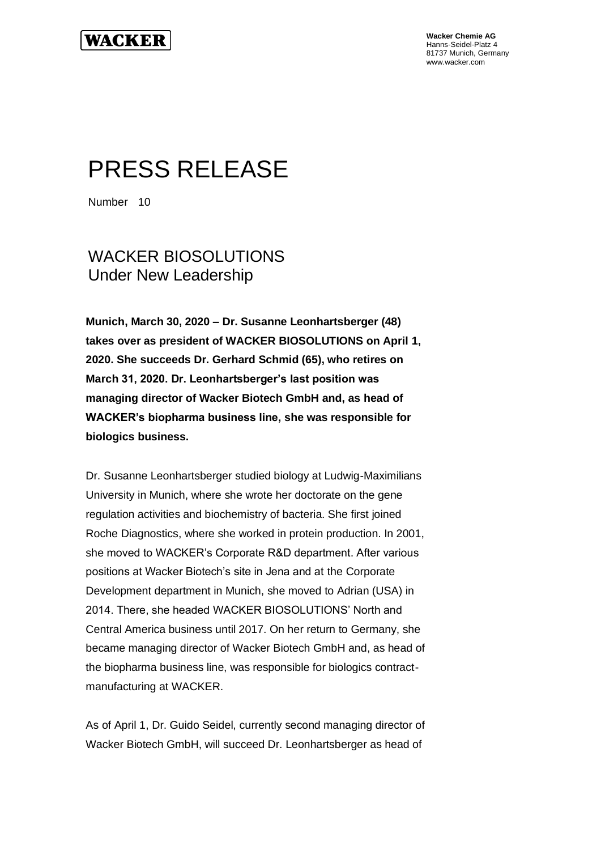

**Wacker Chemie AG** Hanns-Seidel-Platz 4 81737 Munich, Germany www.wacker.com

# PRESS RELEASE

Number 10

## WACKER BIOSOLUTIONS Under New Leadership

**Munich, March 30, 2020 – Dr. Susanne Leonhartsberger (48) takes over as president of WACKER BIOSOLUTIONS on April 1, 2020. She succeeds Dr. Gerhard Schmid (65), who retires on March 31, 2020. Dr. Leonhartsberger's last position was managing director of Wacker Biotech GmbH and, as head of WACKER's biopharma business line, she was responsible for biologics business.**

Dr. Susanne Leonhartsberger studied biology at Ludwig-Maximilians University in Munich, where she wrote her doctorate on the gene regulation activities and biochemistry of bacteria. She first joined Roche Diagnostics, where she worked in protein production. In 2001, she moved to WACKER's Corporate R&D department. After various positions at Wacker Biotech's site in Jena and at the Corporate Development department in Munich, she moved to Adrian (USA) in 2014. There, she headed WACKER BIOSOLUTIONS' North and Central America business until 2017. On her return to Germany, she became managing director of Wacker Biotech GmbH and, as head of the biopharma business line, was responsible for biologics contractmanufacturing at WACKER.

As of April 1, Dr. Guido Seidel, currently second managing director of Wacker Biotech GmbH, will succeed Dr. Leonhartsberger as head of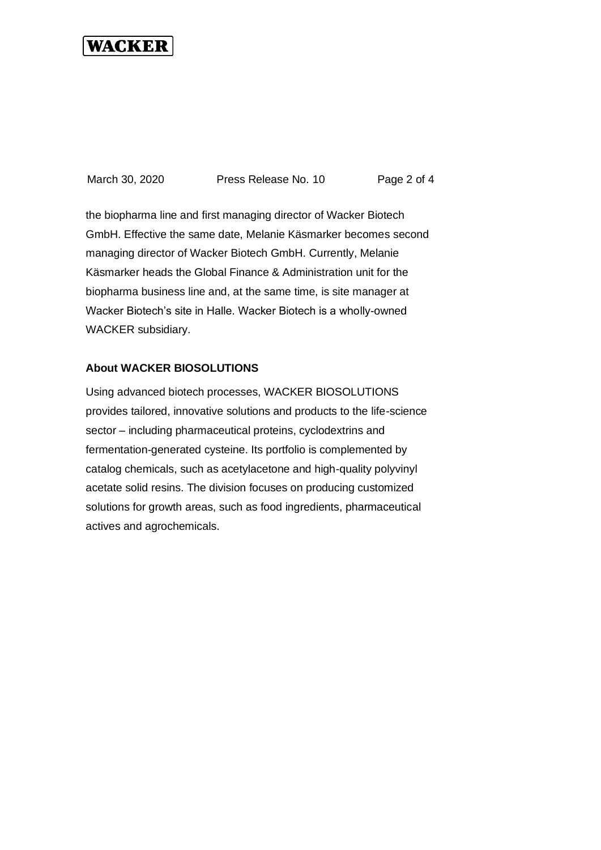## WACKER

March 30, 2020 Press Release No. 10 Page 2 of 4

the biopharma line and first managing director of Wacker Biotech GmbH. Effective the same date, Melanie Käsmarker becomes second managing director of Wacker Biotech GmbH. Currently, Melanie Käsmarker heads the Global Finance & Administration unit for the biopharma business line and, at the same time, is site manager at Wacker Biotech's site in Halle. Wacker Biotech is a wholly-owned WACKER subsidiary.

### **About WACKER BIOSOLUTIONS**

Using advanced biotech processes, WACKER BIOSOLUTIONS provides tailored, innovative solutions and products to the life-science sector – including pharmaceutical proteins, cyclodextrins and fermentation-generated cysteine. Its portfolio is complemented by catalog chemicals, such as acetylacetone and high-quality polyvinyl acetate solid resins. The division focuses on producing customized solutions for growth areas, such as food ingredients, pharmaceutical actives and agrochemicals.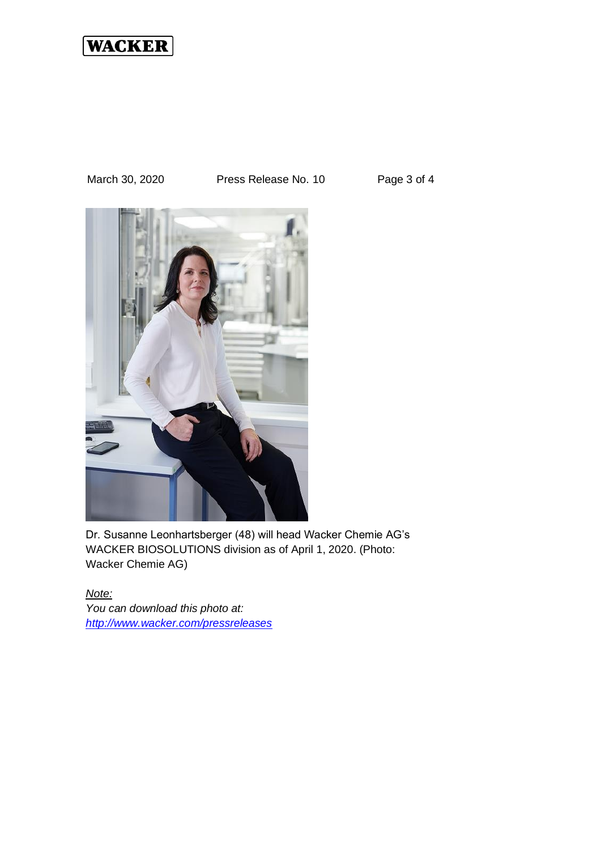## **WACKER**

### March 30, 2020 Press Release No. 10 Page 3 of 4



Dr. Susanne Leonhartsberger (48) will head Wacker Chemie AG's WACKER BIOSOLUTIONS division as of April 1, 2020. (Photo: Wacker Chemie AG)

*Note: You can download this photo at: <http://www.wacker.com/pressreleases>*